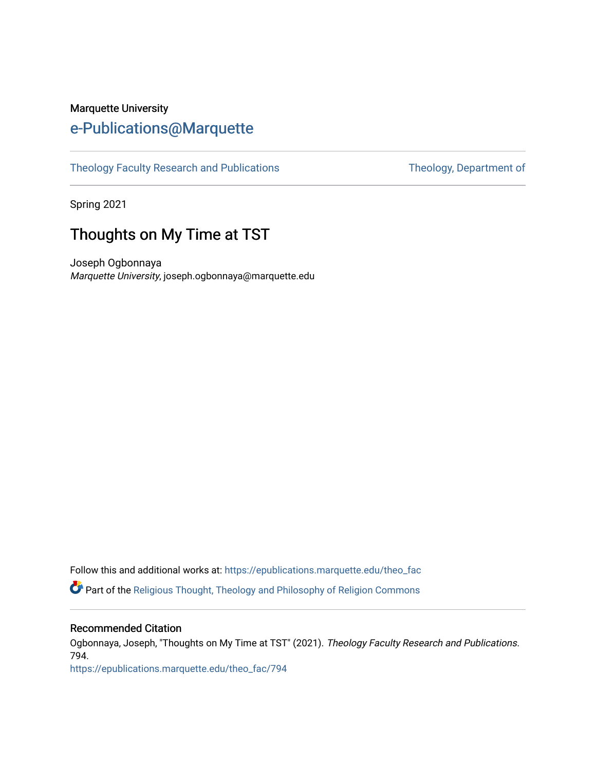## Marquette University [e-Publications@Marquette](https://epublications.marquette.edu/)

[Theology Faculty Research and Publications](https://epublications.marquette.edu/theo_fac) Theology, Department of

Spring 2021

# Thoughts on My Time at TST

Joseph Ogbonnaya Marquette University, joseph.ogbonnaya@marquette.edu

Follow this and additional works at: [https://epublications.marquette.edu/theo\\_fac](https://epublications.marquette.edu/theo_fac?utm_source=epublications.marquette.edu%2Ftheo_fac%2F794&utm_medium=PDF&utm_campaign=PDFCoverPages)  Part of the [Religious Thought, Theology and Philosophy of Religion Commons](http://network.bepress.com/hgg/discipline/544?utm_source=epublications.marquette.edu%2Ftheo_fac%2F794&utm_medium=PDF&utm_campaign=PDFCoverPages) 

#### Recommended Citation

Ogbonnaya, Joseph, "Thoughts on My Time at TST" (2021). Theology Faculty Research and Publications. 794.

[https://epublications.marquette.edu/theo\\_fac/794](https://epublications.marquette.edu/theo_fac/794?utm_source=epublications.marquette.edu%2Ftheo_fac%2F794&utm_medium=PDF&utm_campaign=PDFCoverPages)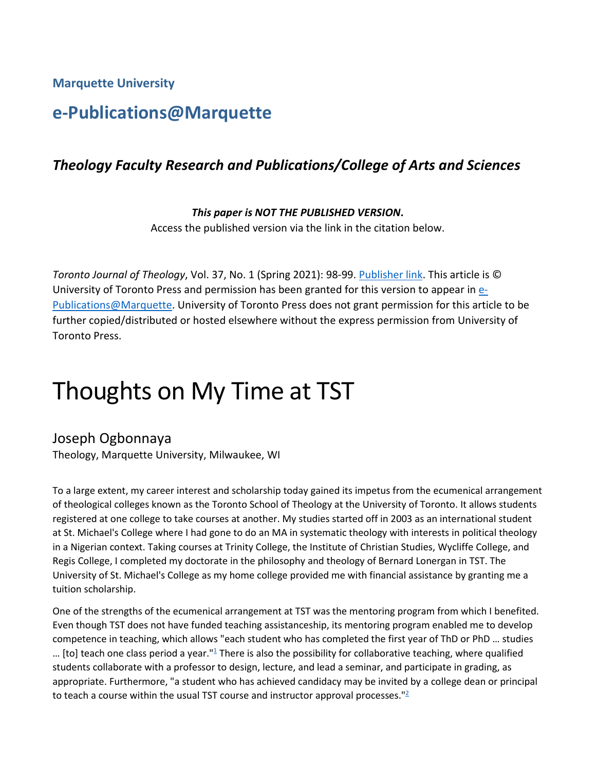**Marquette University**

# **e-Publications@Marquette**

### *Theology Faculty Research and Publications/College of Arts and Sciences*

*This paper is NOT THE PUBLISHED VERSION***.** 

Access the published version via the link in the citation below.

*Toronto Journal of Theology, Vol.* 37, No. 1 (Spring 2021): 98-99. [Publisher link.](https://www.muse.jhu.edu/article/784245.) This article is © University of Toronto Press and permission has been granted for this version to appear i[n e-](http://epublications.marquette.edu/)[Publications@Marquette.](http://epublications.marquette.edu/) University of Toronto Press does not grant permission for this article to be further copied/distributed or hosted elsewhere without the express permission from University of Toronto Press.

# Thoughts on My Time at TST

#### Joseph Ogbonnaya

Theology, Marquette University, Milwaukee, WI

To a large extent, my career interest and scholarship today gained its impetus from the ecumenical arrangement of theological colleges known as the Toronto School of Theology at the University of Toronto. It allows students registered at one college to take courses at another. My studies started off in 2003 as an international student at St. Michael's College where I had gone to do an MA in systematic theology with interests in political theology in a Nigerian context. Taking courses at Trinity College, the Institute of Christian Studies, Wycliffe College, and Regis College, I completed my doctorate in the philosophy and theology of Bernard Lonergan in TST. The University of St. Michael's College as my home college provided me with financial assistance by granting me a tuition scholarship.

One of the strengths of the ecumenical arrangement at TST was the mentoring program from which I benefited. Even though TST does not have funded teaching assistanceship, its mentoring program enabled me to develop competence in teaching, which allows "each student who has completed the first year of ThD or PhD … studies ... [to] teach one class period a year." $\frac{1}{2}$  There is also the possibility for collaborative teaching, where qualified students collaborate with a professor to design, lecture, and lead a seminar, and participate in grading, as appropriate. Furthermore, "a student who has achieved candidacy may be invited by a college dean or principal to teach a course within the usual TST course and instructor approval processes." $2$